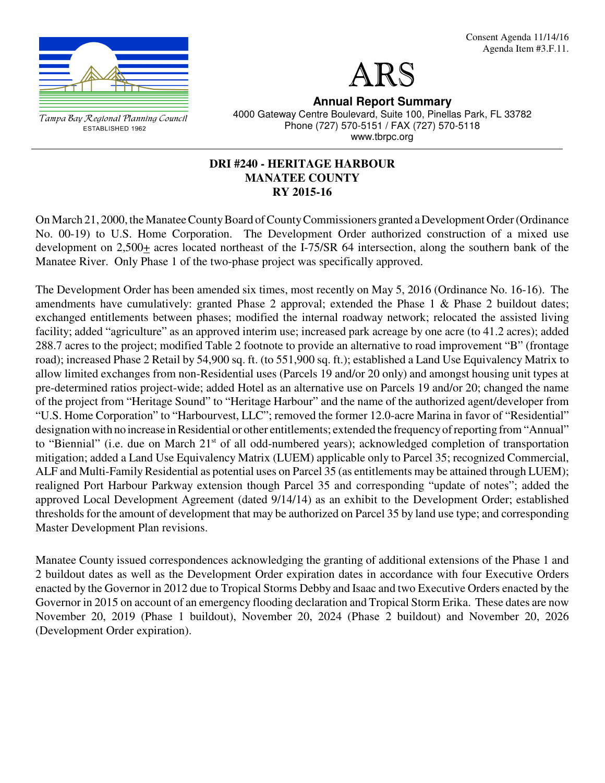



Tampa Bay Regional Planning Council ESTABLISHED 1962

**Annual Report Summary** 4000 Gateway Centre Boulevard, Suite 100, Pinellas Park, FL 33782 Phone (727) 570-5151 / FAX (727) 570-5118 www.tbrpc.org

## **DRI #240 - HERITAGE HARBOUR MANATEE COUNTY RY 2015-16**

On March 21, 2000, the Manatee County Board of County Commissioners granted a Development Order (Ordinance No. 00-19) to U.S. Home Corporation. The Development Order authorized construction of a mixed use development on 2,500+ acres located northeast of the I-75/SR 64 intersection, along the southern bank of the Manatee River. Only Phase 1 of the two-phase project was specifically approved.

The Development Order has been amended six times, most recently on May 5, 2016 (Ordinance No. 16-16). The amendments have cumulatively: granted Phase 2 approval; extended the Phase 1 & Phase 2 buildout dates; exchanged entitlements between phases; modified the internal roadway network; relocated the assisted living facility; added "agriculture" as an approved interim use; increased park acreage by one acre (to 41.2 acres); added 288.7 acres to the project; modified Table 2 footnote to provide an alternative to road improvement "B" (frontage road); increased Phase 2 Retail by 54,900 sq. ft. (to 551,900 sq. ft.); established a Land Use Equivalency Matrix to allow limited exchanges from non-Residential uses (Parcels 19 and/or 20 only) and amongst housing unit types at pre-determined ratios project-wide; added Hotel as an alternative use on Parcels 19 and/or 20; changed the name of the project from "Heritage Sound" to "Heritage Harbour" and the name of the authorized agent/developer from "U.S. Home Corporation" to "Harbourvest, LLC"; removed the former 12.0-acre Marina in favor of "Residential" designation with no increase in Residential or other entitlements; extended the frequency of reporting from "Annual" to "Biennial" (i.e. due on March 21<sup>st</sup> of all odd-numbered years); acknowledged completion of transportation mitigation; added a Land Use Equivalency Matrix (LUEM) applicable only to Parcel 35; recognized Commercial, ALF and Multi-Family Residential as potential uses on Parcel 35 (as entitlements may be attained through LUEM); realigned Port Harbour Parkway extension though Parcel 35 and corresponding "update of notes"; added the approved Local Development Agreement (dated 9/14/14) as an exhibit to the Development Order; established thresholds for the amount of development that may be authorized on Parcel 35 by land use type; and corresponding Master Development Plan revisions.

Manatee County issued correspondences acknowledging the granting of additional extensions of the Phase 1 and 2 buildout dates as well as the Development Order expiration dates in accordance with four Executive Orders enacted by the Governor in 2012 due to Tropical Storms Debby and Isaac and two Executive Orders enacted by the Governor in 2015 on account of an emergency flooding declaration and Tropical Storm Erika. These dates are now November 20, 2019 (Phase 1 buildout), November 20, 2024 (Phase 2 buildout) and November 20, 2026 (Development Order expiration).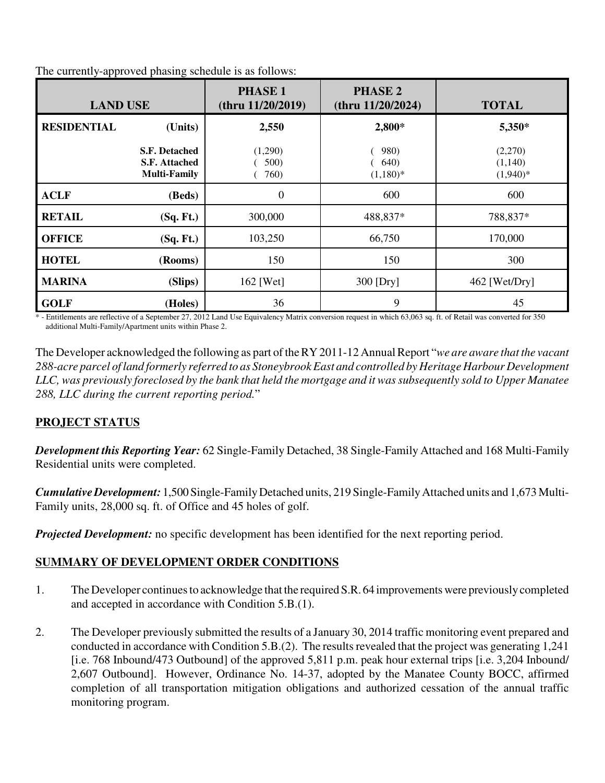| <b>LAND USE</b>    |                                                                     | <b>PHASE 1</b><br>(thru 11/20/2019) | <b>PHASE 2</b><br>(thru $11/20/2024$ )    | <b>TOTAL</b>                     |
|--------------------|---------------------------------------------------------------------|-------------------------------------|-------------------------------------------|----------------------------------|
| <b>RESIDENTIAL</b> | (Units)                                                             | 2,550                               | 2,800*                                    | 5,350*                           |
|                    | <b>S.F. Detached</b><br><b>S.F. Attached</b><br><b>Multi-Family</b> | (1,290)<br>500)<br>760)             | <b>980)</b><br><b>640</b> )<br>$(1,180)*$ | (2,270)<br>(1,140)<br>$(1,940)*$ |
| <b>ACLF</b>        | (Beds)                                                              | $\boldsymbol{0}$                    | 600                                       | 600                              |
| <b>RETAIL</b>      | (Sq. Ft.)                                                           | 300,000                             | 488,837*                                  | 788,837*                         |
| <b>OFFICE</b>      | (Sq. Ft.)                                                           | 103,250                             | 66,750                                    | 170,000                          |
| <b>HOTEL</b>       | (Rooms)                                                             | 150                                 | 150                                       | 300                              |
| <b>MARINA</b>      | (Slips)                                                             | $162$ [Wet]                         | 300 [Dry]                                 | $462$ [Wet/Dry]                  |
| <b>GOLF</b>        | (Holes)                                                             | 36                                  | 9                                         | 45                               |

The currently-approved phasing schedule is as follows:

\* - Entitlements are reflective of a September 27, 2012 Land Use Equivalency Matrix conversion request in which 63,063 sq. ft. of Retail was converted for 350 additional Multi-Family/Apartment units within Phase 2.

The Developer acknowledged the following as part of the RY 2011-12 Annual Report "*we are aware that the vacant 288-acre parcel of land formerly referred to as Stoneybrook East and controlled by Heritage Harbour Development LLC, was previously foreclosed by the bank that held the mortgage and it was subsequently sold to Upper Manatee 288, LLC during the current reporting period.*"

# **PROJECT STATUS**

*Development this Reporting Year:* 62 Single-Family Detached, 38 Single-Family Attached and 168 Multi-Family Residential units were completed.

*Cumulative Development:* 1,500 Single-Family Detached units, 219 Single-Family Attached units and 1,673 Multi-Family units, 28,000 sq. ft. of Office and 45 holes of golf.

*Projected Development:* no specific development has been identified for the next reporting period.

# **SUMMARY OF DEVELOPMENT ORDER CONDITIONS**

- 1. The Developer continues to acknowledge that the required S.R. 64 improvements were previously completed and accepted in accordance with Condition 5.B.(1).
- 2. The Developer previously submitted the results of a January 30, 2014 traffic monitoring event prepared and conducted in accordance with Condition 5.B.(2). The results revealed that the project was generating 1,241 [i.e. 768 Inbound/473 Outbound] of the approved 5,811 p.m. peak hour external trips [i.e. 3,204 Inbound/ 2,607 Outbound]. However, Ordinance No. 14-37, adopted by the Manatee County BOCC, affirmed completion of all transportation mitigation obligations and authorized cessation of the annual traffic monitoring program.